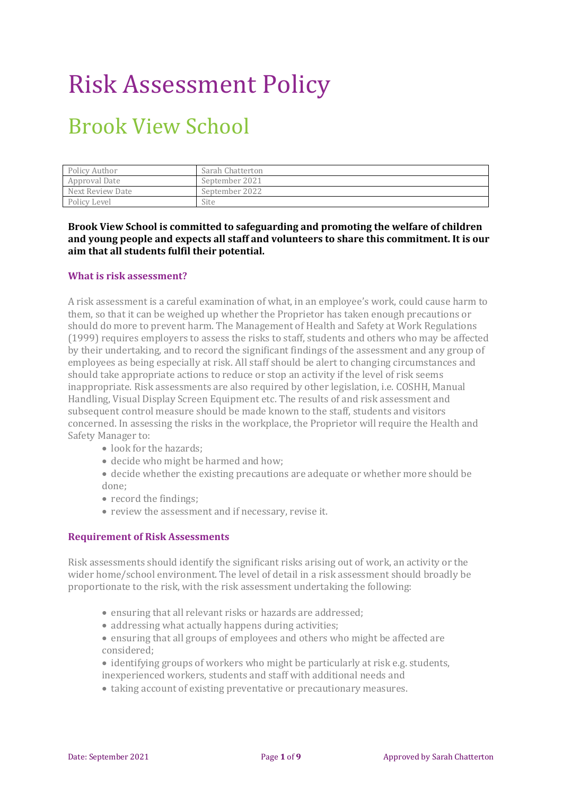## Risk Assessment Policy

### Brook View School

| Policy Author    | Sarah Chatterton |
|------------------|------------------|
| Approval Date    | September 2021   |
| Next Review Date | September 2022   |
| Policy Level     | Site             |

**Brook View School is committed to safeguarding and promoting the welfare of children and young people and expects all staff and volunteers to share this commitment. It is our aim that all students fulfil their potential.** 

#### **What is risk assessment?**

A risk assessment is a careful examination of what, in an employee's work, could cause harm to them, so that it can be weighed up whether the Proprietor has taken enough precautions or should do more to prevent harm. The Management of Health and Safety at Work Regulations (1999) requires employers to assess the risks to staff, students and others who may be affected by their undertaking, and to record the significant findings of the assessment and any group of employees as being especially at risk. All staff should be alert to changing circumstances and should take appropriate actions to reduce or stop an activity if the level of risk seems inappropriate. Risk assessments are also required by other legislation, i.e. COSHH, Manual Handling, Visual Display Screen Equipment etc. The results of and risk assessment and subsequent control measure should be made known to the staff, students and visitors concerned. In assessing the risks in the workplace, the Proprietor will require the Health and Safety Manager to:

- look for the hazards:
- decide who might be harmed and how;
- decide whether the existing precautions are adequate or whether more should be done;
- record the findings;
- review the assessment and if necessary, revise it.

#### **Requirement of Risk Assessments**

Risk assessments should identify the significant risks arising out of work, an activity or the wider home/school environment. The level of detail in a risk assessment should broadly be proportionate to the risk, with the risk assessment undertaking the following:

- ensuring that all relevant risks or hazards are addressed;
- addressing what actually happens during activities;
- ensuring that all groups of employees and others who might be affected are considered;
- identifying groups of workers who might be particularly at risk e.g. students, inexperienced workers, students and staff with additional needs and
- taking account of existing preventative or precautionary measures.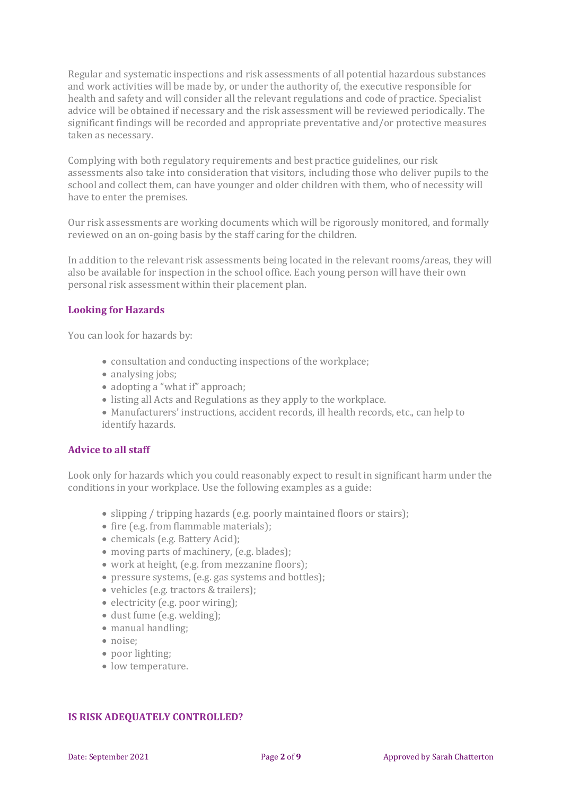Regular and systematic inspections and risk assessments of all potential hazardous substances and work activities will be made by, or under the authority of, the executive responsible for health and safety and will consider all the relevant regulations and code of practice. Specialist advice will be obtained if necessary and the risk assessment will be reviewed periodically. The significant findings will be recorded and appropriate preventative and/or protective measures taken as necessary.

Complying with both regulatory requirements and best practice guidelines, our risk assessments also take into consideration that visitors, including those who deliver pupils to the school and collect them, can have younger and older children with them, who of necessity will have to enter the premises.

Our risk assessments are working documents which will be rigorously monitored, and formally reviewed on an on-going basis by the staff caring for the children.

In addition to the relevant risk assessments being located in the relevant rooms/areas, they will also be available for inspection in the school office. Each young person will have their own personal risk assessment within their placement plan.

#### **Looking for Hazards**

You can look for hazards by:

- consultation and conducting inspections of the workplace;
- analysing jobs;
- adopting a "what if" approach;
- listing all Acts and Regulations as they apply to the workplace.
- Manufacturers' instructions, accident records, ill health records, etc., can help to identify hazards.

#### **Advice to all staff**

Look only for hazards which you could reasonably expect to result in significant harm under the conditions in your workplace. Use the following examples as a guide:

- slipping / tripping hazards (e.g. poorly maintained floors or stairs);
- fire (e.g. from flammable materials);
- chemicals (e.g. Battery Acid);
- moving parts of machinery, (e.g. blades);
- work at height, (e.g. from mezzanine floors);
- pressure systems, (e.g. gas systems and bottles);
- vehicles (e.g. tractors & trailers);
- electricity (e.g. poor wiring);
- dust fume (e.g. welding);
- manual handling:
- noise:
- poor lighting;
- low temperature.

#### **IS RISK ADEQUATELY CONTROLLED?**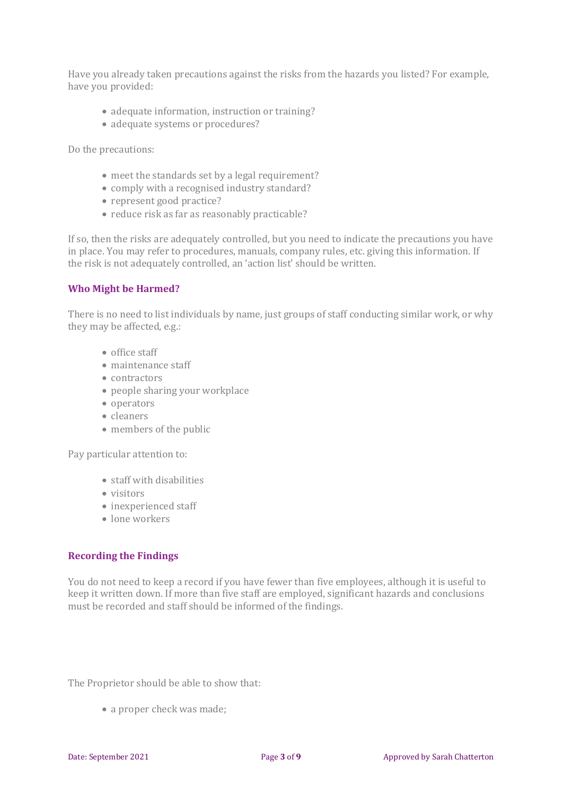Have you already taken precautions against the risks from the hazards you listed? For example, have you provided:

- adequate information, instruction or training?
- adequate systems or procedures?

Do the precautions:

- meet the standards set by a legal requirement?
- comply with a recognised industry standard?
- represent good practice?
- reduce risk as far as reasonably practicable?

If so, then the risks are adequately controlled, but you need to indicate the precautions you have in place. You may refer to procedures, manuals, company rules, etc. giving this information. If the risk is not adequately controlled, an 'action list' should be written.

#### **Who Might be Harmed?**

There is no need to list individuals by name, just groups of staff conducting similar work, or why they may be affected, e.g.:

- office staff
- maintenance staff
- contractors
- people sharing your workplace
- operators
- cleaners
- members of the public

Pay particular attention to:

- staff with disabilities
- visitors
- inexperienced staff
- lone workers

#### **Recording the Findings**

You do not need to keep a record if you have fewer than five employees, although it is useful to keep it written down. If more than five staff are employed, significant hazards and conclusions must be recorded and staff should be informed of the findings.

The Proprietor should be able to show that:

• a proper check was made;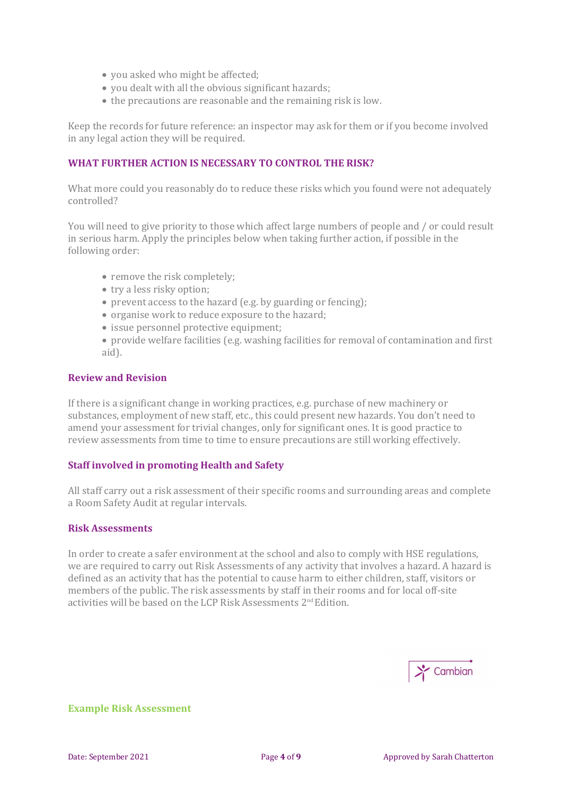- you asked who might be affected;
- you dealt with all the obvious significant hazards;
- the precautions are reasonable and the remaining risk is low.

Keep the records for future reference: an inspector may ask for them or if you become involved in any legal action they will be required.

#### **WHAT FURTHER ACTION IS NECESSARY TO CONTROL THE RISK?**

What more could you reasonably do to reduce these risks which you found were not adequately controlled?

You will need to give priority to those which affect large numbers of people and / or could result in serious harm. Apply the principles below when taking further action, if possible in the following order:

- remove the risk completely;
- try a less risky option;
- prevent access to the hazard (e.g. by guarding or fencing);
- organise work to reduce exposure to the hazard;
- issue personnel protective equipment;
- provide welfare facilities (e.g. washing facilities for removal of contamination and first aid).

#### **Review and Revision**

If there is a significant change in working practices, e.g. purchase of new machinery or substances, employment of new staff, etc., this could present new hazards. You don't need to amend your assessment for trivial changes, only for significant ones. It is good practice to review assessments from time to time to ensure precautions are still working effectively.

#### **Staff involved in promoting Health and Safety**

All staff carry out a risk assessment of their specific rooms and surrounding areas and complete a Room Safety Audit at regular intervals.

#### **Risk Assessments**

In order to create a safer environment at the school and also to comply with HSE regulations, we are required to carry out Risk Assessments of any activity that involves a hazard. A hazard is defined as an activity that has the potential to cause harm to either children, staff, visitors or members of the public. The risk assessments by staff in their rooms and for local off-site activities will be based on the LCP Risk Assessments 2nd Edition.



**Example Risk Assessment**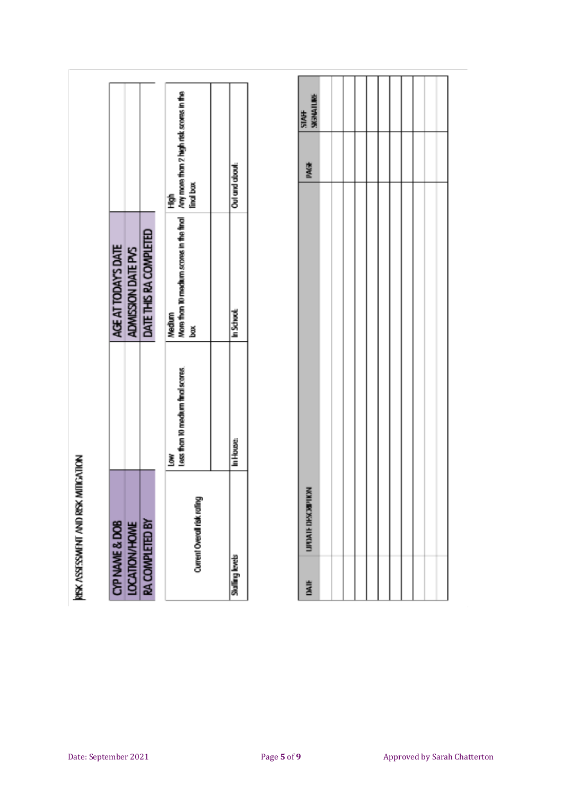| į |  |
|---|--|

,

| CYP NAME & DOB              |                                       | AGE AT TODAYS DATE                                                                             |                |
|-----------------------------|---------------------------------------|------------------------------------------------------------------------------------------------|----------------|
| <b>LOCATION/HOME</b>        |                                       | ADMISSION DATE PVS                                                                             |                |
| <b>RA COMPLETED BY</b>      |                                       | DATE THIS RA COMPLETED                                                                         |                |
| Current Overall risk rating | less than 10 medium final scores<br>Š | More than 10 medium scores in the final Any more than 2 high risk scores in the<br>Medium<br>ğ | final bax<br>흋 |
|                             |                                       |                                                                                                |                |
| <b>Skalling levels</b>      | In House.                             | In School                                                                                      | Oul and about  |

| DAIF | INVIATION SHALL FIDENTITY | PAGE | STA <del>TT</del><br>SKENATLINE |
|------|---------------------------|------|---------------------------------|
|      |                           |      |                                 |
|      |                           |      |                                 |
|      |                           |      |                                 |
|      |                           |      |                                 |
|      |                           |      |                                 |
|      |                           |      |                                 |
|      |                           |      |                                 |
|      |                           |      |                                 |
|      |                           |      |                                 |
|      |                           |      |                                 |
|      |                           |      |                                 |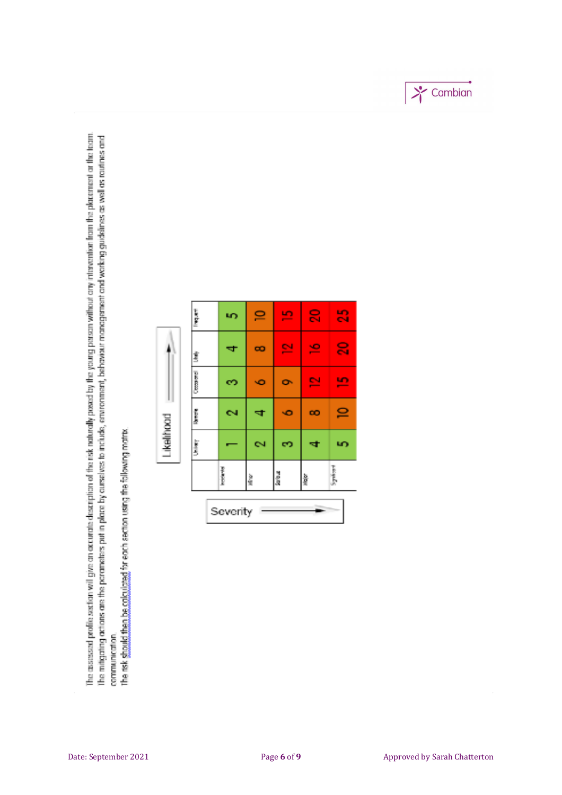The assessed profile section will give on accurate description of the risk naturally posed by the young person without any intervention from the placement or the horm. The mitigating actions are the porameters put in place by aurselves to include, eminenting behaviour management and working guidelines as well as rautines and communication.

the risk should then be coloulated for each section using the following matrix.

| $\frac{1}{2}$<br>Severity | <b>Propinsi</b><br>$\frac{3}{26}$<br>à.<br><b>High</b> | Likelihood<br>ĵ<br>6Ń,<br>c.<br>ы. | i<br>Seres<br>CN.<br>œ<br>খ<br>КÖ | <b>Cooper</b><br>덕<br>۰O<br>ó<br>Ø | 은<br>$\equiv$<br>J.<br>œ<br>च<br>Î | š<br>$\mathbb{S}$<br>$\mathbf{P}$<br>뜨<br>ury |
|---------------------------|--------------------------------------------------------|------------------------------------|-----------------------------------|------------------------------------|------------------------------------|-----------------------------------------------|
|                           | Springer                                               | u)                                 | $\mathbf{P}$                      | <u>un</u>                          | $\mathbf{S}$                       | $\mathbb{S}$                                  |

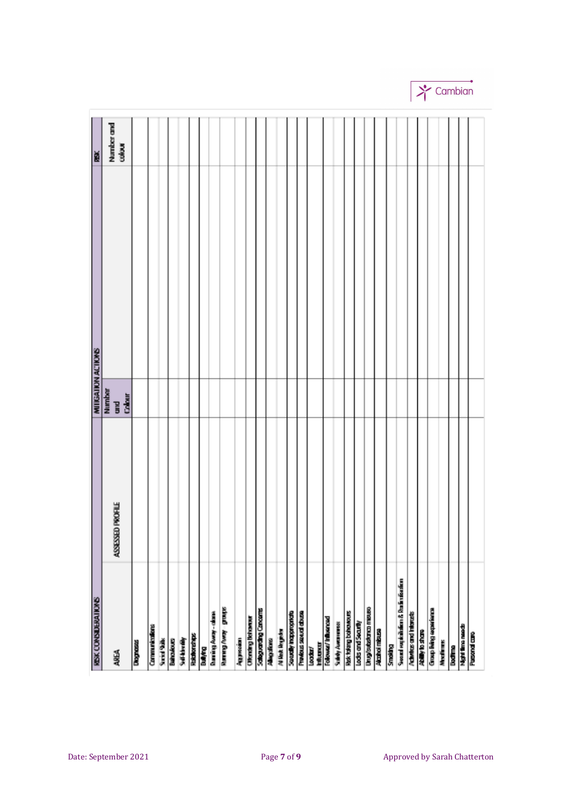| REK CONSIDERATIONS              |                  |                         | ĕ                    |
|---------------------------------|------------------|-------------------------|----------------------|
|                                 |                  | MITIGATION ACTIONS      |                      |
| AREA                            | ASSESSED PROFILE | Number<br>and<br>Galair | Number and<br>calour |
| <b>Diagnoss</b>                 |                  |                         |                      |
| Communications                  |                  |                         |                      |
| <b>Strict Sale</b>              |                  |                         |                      |
| Bahoukouts                      |                  |                         |                      |
| <b>Sull-kineliky</b>            |                  |                         |                      |
| Rainborghips                    |                  |                         |                      |
| Bulying                         |                  |                         |                      |
| <b>Burning Away-chase</b>       |                  |                         |                      |
| shout - kevy fonany             |                  |                         |                      |
| Aggression                      |                  |                         |                      |
| <b>Othership Behaves</b>        |                  |                         |                      |
| Sabguarding Concerns            |                  |                         |                      |
| Allegaliana                     |                  |                         |                      |
| <b>N link lingster</b>          |                  |                         |                      |
| Saudly Inappropriate            |                  |                         |                      |
| <b>Province securi druge</b>    |                  |                         |                      |
| htturur<br>looder/              |                  |                         |                      |
| Tolowa/Inhumord                 |                  |                         |                      |
| <b>Subdy Avenueses</b>          |                  |                         |                      |
| <b>Hok folling bohowours</b>    |                  |                         |                      |
| Lods and Security               |                  |                         |                      |
| <b>Unug/outcotance missure</b>  |                  |                         |                      |
| <b>Alcohol misuse</b>           |                  |                         |                      |
| Smoking                         |                  |                         |                      |
| Soord equiviliding & Redistrict |                  |                         |                      |
| <b>Admitted and Internets</b>   |                  |                         |                      |
| Ability to share                |                  |                         |                      |
| Group living experience         |                  |                         |                      |
| Modianos                        |                  |                         |                      |
| ladina                          |                  |                         |                      |
| Nghi fina needs<br>Pasond care  |                  |                         |                      |
|                                 |                  |                         |                      |
|                                 |                  |                         |                      |

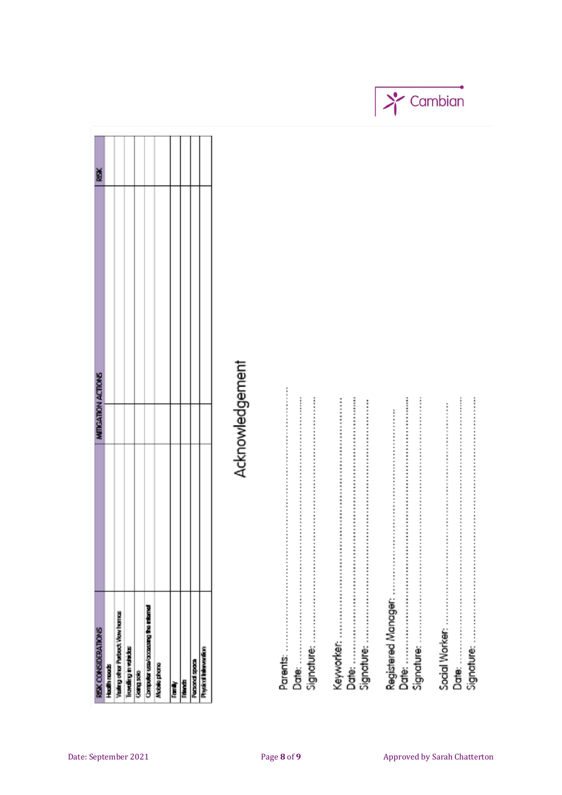| Visiting ofter Purbock Viow homes<br>Hadh needs |  |  |
|-------------------------------------------------|--|--|
| Transfing in valuebas<br>Georgiación            |  |  |
|                                                 |  |  |
|                                                 |  |  |
|                                                 |  |  |
| Computer use/accessing the internet             |  |  |
| Mobile phone                                    |  |  |
| iama)                                           |  |  |
| <b>Tanzi</b>                                    |  |  |
| <b>Personal space</b>                           |  |  |
| <b>Physical Intervention</b>                    |  |  |

# Acknowledgement